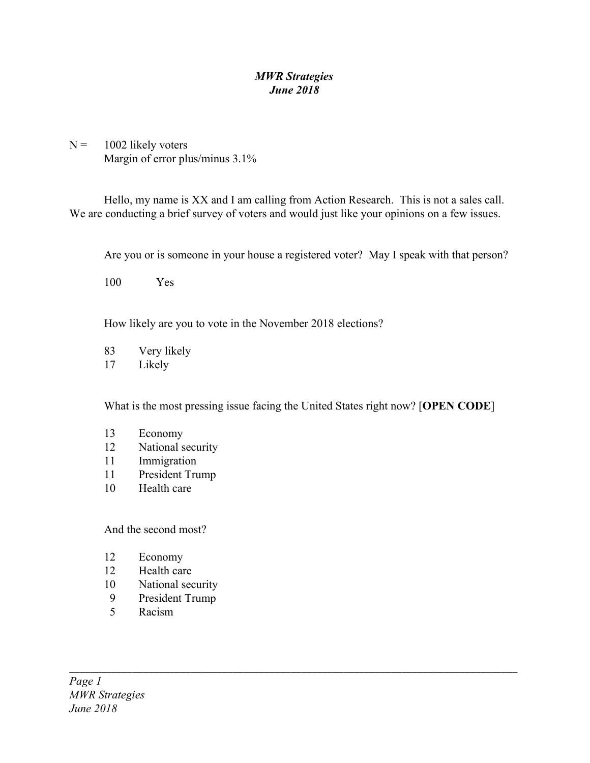#### *MWR Strategies June 2018*

 $N = 1002$  likely voters Margin of error plus/minus 3.1%

Hello, my name is XX and I am calling from Action Research. This is not a sales call. We are conducting a brief survey of voters and would just like your opinions on a few issues.

Are you or is someone in your house a registered voter? May I speak with that person?

100 Yes

How likely are you to vote in the November 2018 elections?

- 83 Very likely
- 17 Likely

What is the most pressing issue facing the United States right now? [**OPEN CODE**]

\_\_\_\_\_\_\_\_\_\_\_\_\_\_\_\_\_\_\_\_\_\_\_\_\_\_\_\_\_\_\_\_\_\_\_\_\_\_\_\_\_\_\_\_\_\_\_\_\_\_\_\_\_\_\_\_\_\_\_\_\_\_\_\_\_\_\_\_\_\_\_\_\_\_\_\_\_\_\_\_\_\_\_\_\_

- 13 Economy
- 12 National security
- 11 Immigration
- 11 President Trump
- 10 Health care

And the second most?

- 12 Economy
- 12 Health care
- 10 National security
- 9 President Trump
- 5 Racism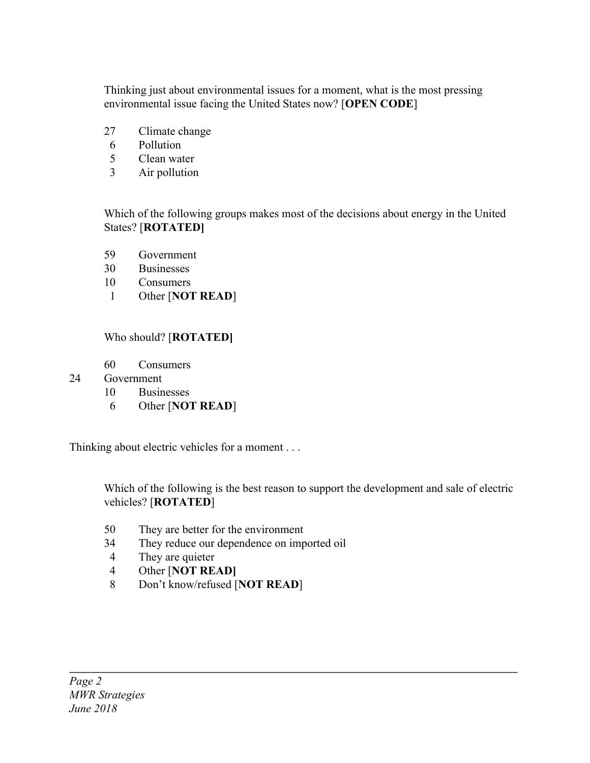Thinking just about environmental issues for a moment, what is the most pressing environmental issue facing the United States now? [**OPEN CODE**]

- 27 Climate change
- 6 Pollution
- 5 Clean water
- 3 Air pollution

Which of the following groups makes most of the decisions about energy in the United States? [**ROTATED]**

- 59 Government
- 30 Businesses
- 10 Consumers
- 1 Other [**NOT READ**]

Who should? [**ROTATED]**

- 60 Consumers
- 24 Government
	- 10 Businesses
	- 6 Other [**NOT READ**]

Thinking about electric vehicles for a moment . . .

Which of the following is the best reason to support the development and sale of electric vehicles? [**ROTATED**]

\_\_\_\_\_\_\_\_\_\_\_\_\_\_\_\_\_\_\_\_\_\_\_\_\_\_\_\_\_\_\_\_\_\_\_\_\_\_\_\_\_\_\_\_\_\_\_\_\_\_\_\_\_\_\_\_\_\_\_\_\_\_\_\_\_\_\_\_\_\_\_\_\_\_\_\_\_\_\_\_\_\_\_\_\_

- 50 They are better for the environment
- 34 They reduce our dependence on imported oil
- 4 They are quieter
- 4 Other [**NOT READ]**
- 8 Don't know/refused [**NOT READ**]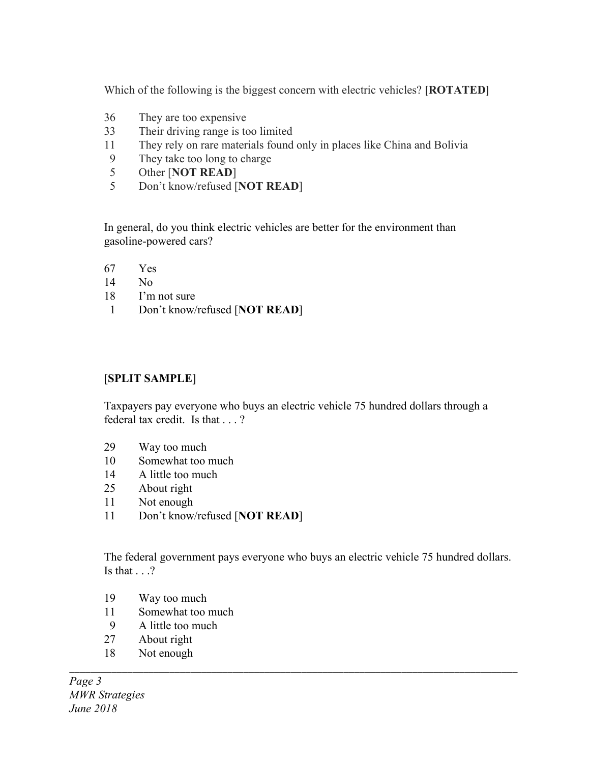Which of the following is the biggest concern with electric vehicles? **[ROTATED]**

- They are too expensive
- Their driving range is too limited
- They rely on rare materials found only in places like China and Bolivia
- They take too long to charge
- 5 Other [**NOT READ**]<br>5 Don't know/refused [
- Don't know/refused [**NOT READ**]

In general, do you think electric vehicles are better for the environment than gasoline-powered cars?

- Yes
- No
- I'm not sure
- Don't know/refused [**NOT READ**]

### [**SPLIT SAMPLE**]

Taxpayers pay everyone who buys an electric vehicle 75 hundred dollars through a federal tax credit. Is that . . . ?

- Way too much
- Somewhat too much
- A little too much
- About right
- Not enough
- Don't know/refused [**NOT READ**]

The federal government pays everyone who buys an electric vehicle 75 hundred dollars. Is that  $\ldots$ ?

\_\_\_\_\_\_\_\_\_\_\_\_\_\_\_\_\_\_\_\_\_\_\_\_\_\_\_\_\_\_\_\_\_\_\_\_\_\_\_\_\_\_\_\_\_\_\_\_\_\_\_\_\_\_\_\_\_\_\_\_\_\_\_\_\_\_\_\_\_\_\_\_\_\_\_\_\_\_\_\_\_\_\_\_\_

- Way too much
- Somewhat too much
- A little too much
- About right
- Not enough

*Page 3 MWR Strategies June 2018*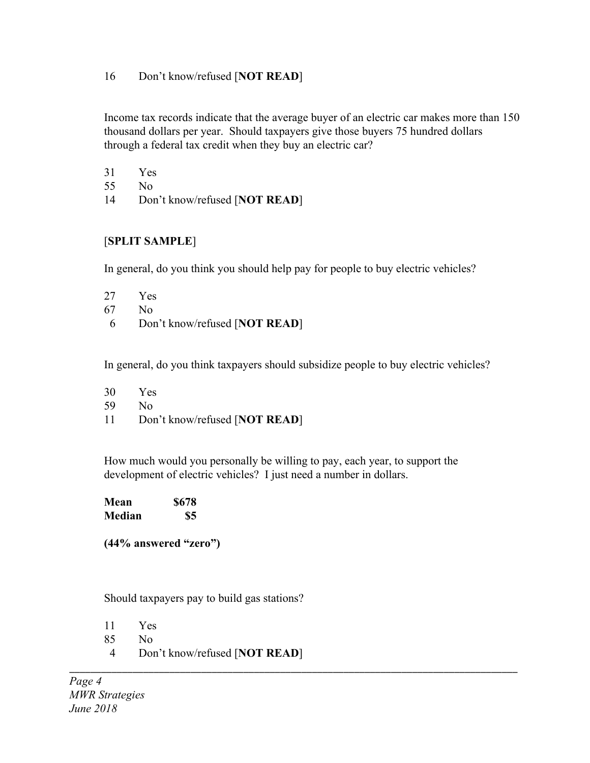#### 16 Don't know/refused [**NOT READ**]

Income tax records indicate that the average buyer of an electric car makes more than 150 thousand dollars per year. Should taxpayers give those buyers 75 hundred dollars through a federal tax credit when they buy an electric car?

- 31 Yes
- 55 No
- 14 Don't know/refused [**NOT READ**]

### [**SPLIT SAMPLE**]

In general, do you think you should help pay for people to buy electric vehicles?

- 27 Yes
- 67 No
- 6 Don't know/refused [**NOT READ**]

In general, do you think taxpayers should subsidize people to buy electric vehicles?

- 30 Yes
- 59 No
- 11 Don't know/refused [**NOT READ**]

How much would you personally be willing to pay, each year, to support the development of electric vehicles? I just need a number in dollars.

\_\_\_\_\_\_\_\_\_\_\_\_\_\_\_\_\_\_\_\_\_\_\_\_\_\_\_\_\_\_\_\_\_\_\_\_\_\_\_\_\_\_\_\_\_\_\_\_\_\_\_\_\_\_\_\_\_\_\_\_\_\_\_\_\_\_\_\_\_\_\_\_\_\_\_\_\_\_\_\_\_\_\_\_\_

**Mean \$678 Median \$5**

**(44% answered "zero")**

Should taxpayers pay to build gas stations?

11 Yes

- 85 No
- 4 Don't know/refused [**NOT READ**]

*Page 4 MWR Strategies June 2018*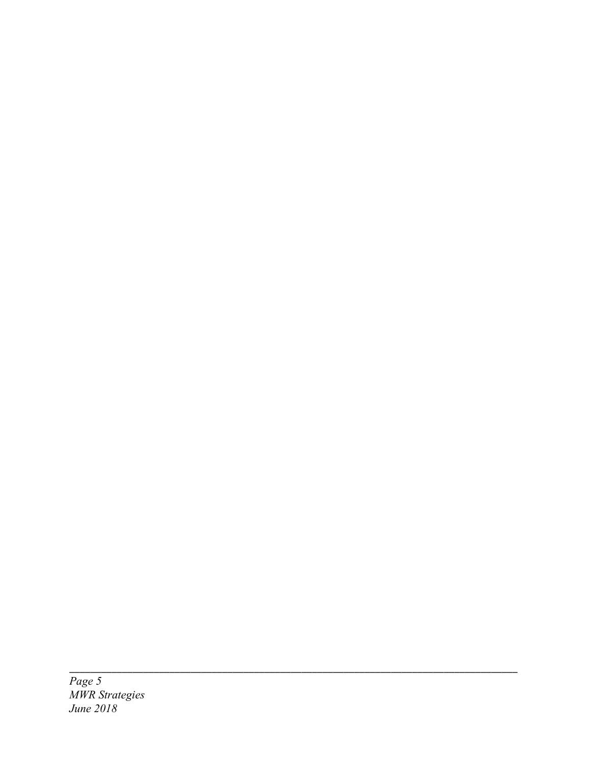Page 5<br>MWR Strategies<br>June 2018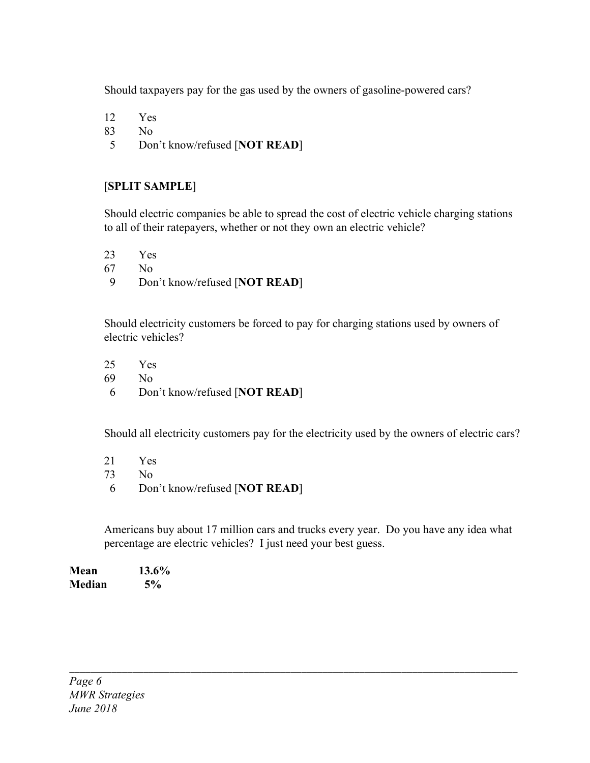Should taxpayers pay for the gas used by the owners of gasoline-powered cars?

- 12 Yes
- 83 No
- 5 Don't know/refused [**NOT READ**]

# [**SPLIT SAMPLE**]

Should electric companies be able to spread the cost of electric vehicle charging stations to all of their ratepayers, whether or not they own an electric vehicle?

- 23 Yes
- 67 No
- 9 Don't know/refused [**NOT READ**]

Should electricity customers be forced to pay for charging stations used by owners of electric vehicles?

- 25 Yes
- 69 No
- 6 Don't know/refused [**NOT READ**]

Should all electricity customers pay for the electricity used by the owners of electric cars?

- 21 Yes
- 73 No
- 6 Don't know/refused [**NOT READ**]

Americans buy about 17 million cars and trucks every year. Do you have any idea what percentage are electric vehicles? I just need your best guess.

\_\_\_\_\_\_\_\_\_\_\_\_\_\_\_\_\_\_\_\_\_\_\_\_\_\_\_\_\_\_\_\_\_\_\_\_\_\_\_\_\_\_\_\_\_\_\_\_\_\_\_\_\_\_\_\_\_\_\_\_\_\_\_\_\_\_\_\_\_\_\_\_\_\_\_\_\_\_\_\_\_\_\_\_\_

**Mean 13.6% Median 5%**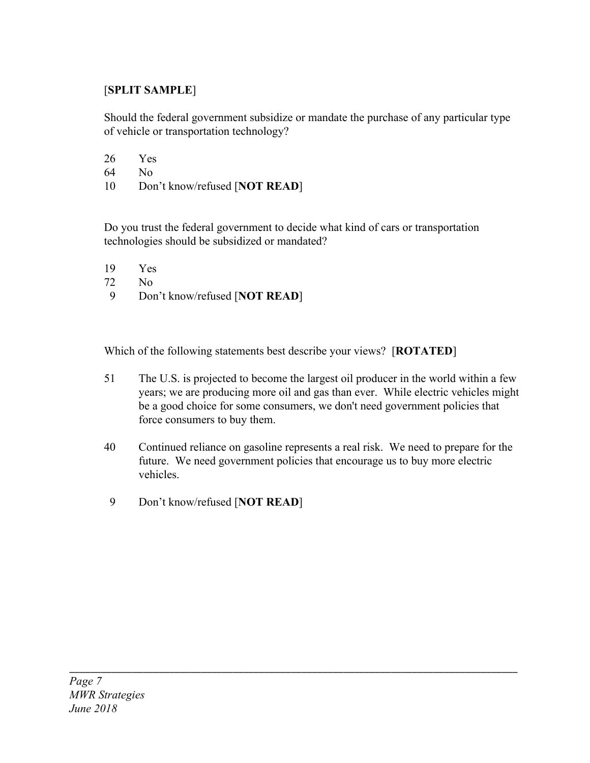# [**SPLIT SAMPLE**]

Should the federal government subsidize or mandate the purchase of any particular type of vehicle or transportation technology?

- 26 Yes
- 64 No
- 10 Don't know/refused [**NOT READ**]

Do you trust the federal government to decide what kind of cars or transportation technologies should be subsidized or mandated?

- 19 Yes
- 72 No
- 9 Don't know/refused [**NOT READ**]

Which of the following statements best describe your views? [**ROTATED**]

- 51 The U.S. is projected to become the largest oil producer in the world within a few years; we are producing more oil and gas than ever. While electric vehicles might be a good choice for some consumers, we don't need government policies that force consumers to buy them.
- 40 Continued reliance on gasoline represents a real risk. We need to prepare for the future. We need government policies that encourage us to buy more electric vehicles.

\_\_\_\_\_\_\_\_\_\_\_\_\_\_\_\_\_\_\_\_\_\_\_\_\_\_\_\_\_\_\_\_\_\_\_\_\_\_\_\_\_\_\_\_\_\_\_\_\_\_\_\_\_\_\_\_\_\_\_\_\_\_\_\_\_\_\_\_\_\_\_\_\_\_\_\_\_\_\_\_\_\_\_\_\_

9 Don't know/refused [**NOT READ**]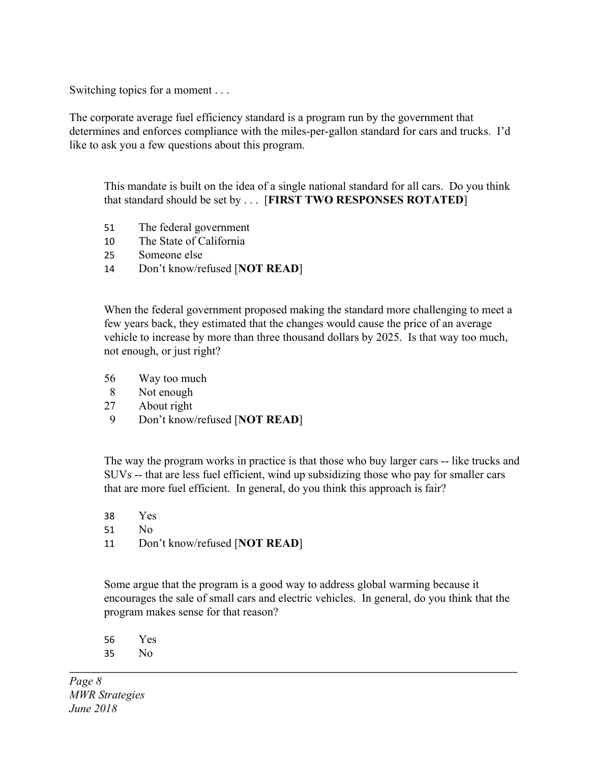Switching topics for a moment . . .

The corporate average fuel efficiency standard is a program run by the government that determines and enforces compliance with the miles-per-gallon standard for cars and trucks. I'd like to ask you a few questions about this program.

This mandate is built on the idea of a single national standard for all cars. Do you think that standard should be set by . . . [**FIRST TWO RESPONSES ROTATED**]

- 51 The federal government
- 10 The State of California
- 25 Someone else
- 14 Don't know/refused [**NOT READ**]

When the federal government proposed making the standard more challenging to meet a few years back, they estimated that the changes would cause the price of an average vehicle to increase by more than three thousand dollars by 2025. Is that way too much, not enough, or just right?

- 56 Way too much
- 8 Not enough
- 27 About right
- 9 Don't know/refused [**NOT READ**]

The way the program works in practice is that those who buy larger cars -- like trucks and SUVs -- that are less fuel efficient, wind up subsidizing those who pay for smaller cars that are more fuel efficient. In general, do you think this approach is fair?

38 Yes 51 No

11 Don't know/refused [**NOT READ**]

Some argue that the program is a good way to address global warming because it encourages the sale of small cars and electric vehicles. In general, do you think that the program makes sense for that reason?

\_\_\_\_\_\_\_\_\_\_\_\_\_\_\_\_\_\_\_\_\_\_\_\_\_\_\_\_\_\_\_\_\_\_\_\_\_\_\_\_\_\_\_\_\_\_\_\_\_\_\_\_\_\_\_\_\_\_\_\_\_\_\_\_\_\_\_\_\_\_\_\_\_\_\_\_\_\_\_\_\_\_\_\_\_

56 Yes 35 No

*Page 8 MWR Strategies June 2018*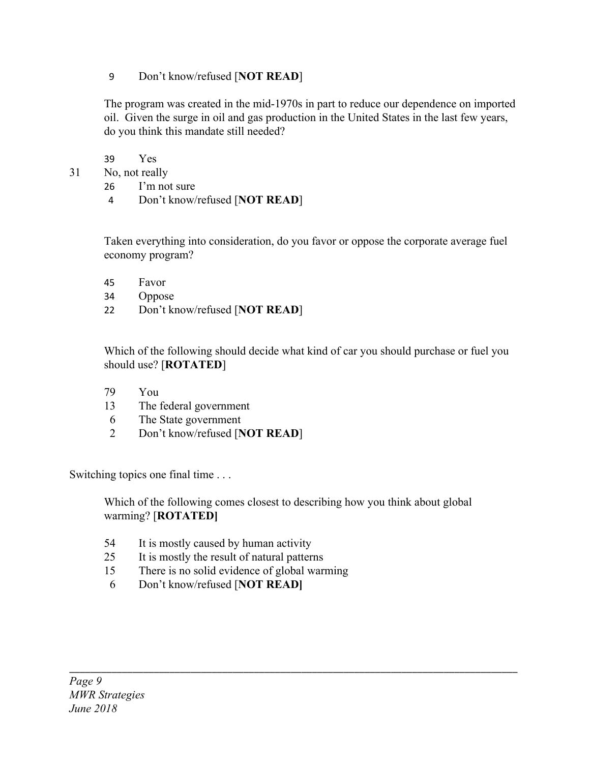# 9 Don't know/refused [**NOT READ**]

The program was created in the mid-1970s in part to reduce our dependence on imported oil. Given the surge in oil and gas production in the United States in the last few years, do you think this mandate still needed?

39 Yes

31 No, not really

26 I'm not sure

4 Don't know/refused [**NOT READ**]

Taken everything into consideration, do you favor or oppose the corporate average fuel economy program?

- 45 Favor
- 34 Oppose
- 22 Don't know/refused [**NOT READ**]

Which of the following should decide what kind of car you should purchase or fuel you should use? [**ROTATED**]

- 79 You
- 13 The federal government
- 6 The State government
- 2 Don't know/refused [**NOT READ**]

Switching topics one final time . . .

Which of the following comes closest to describing how you think about global warming? [**ROTATED]**

\_\_\_\_\_\_\_\_\_\_\_\_\_\_\_\_\_\_\_\_\_\_\_\_\_\_\_\_\_\_\_\_\_\_\_\_\_\_\_\_\_\_\_\_\_\_\_\_\_\_\_\_\_\_\_\_\_\_\_\_\_\_\_\_\_\_\_\_\_\_\_\_\_\_\_\_\_\_\_\_\_\_\_\_\_

- 54 It is mostly caused by human activity
- 25 It is mostly the result of natural patterns
- 15 There is no solid evidence of global warming
- 6 Don't know/refused [**NOT READ]**